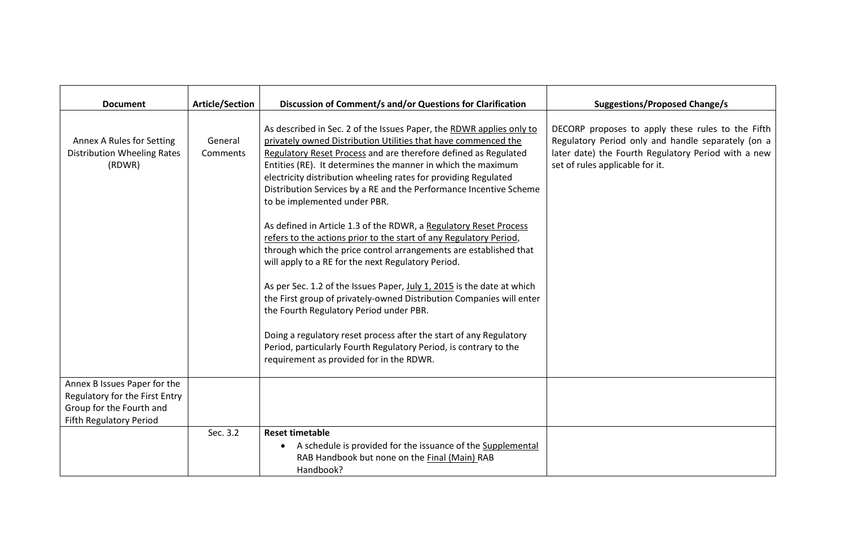| <b>Document</b>                                                                                                              | <b>Article/Section</b> | Discussion of Comment/s and/or Questions for Clarification                                                                                                                                                                                                                                                                                                                                                                                                                                                                                                                                                                                                                                                                                                                                                                                                                                                                                                                                                                                                                                                   | <b>Suggestions/Proposed Change/s</b>                                                                                                                                                              |
|------------------------------------------------------------------------------------------------------------------------------|------------------------|--------------------------------------------------------------------------------------------------------------------------------------------------------------------------------------------------------------------------------------------------------------------------------------------------------------------------------------------------------------------------------------------------------------------------------------------------------------------------------------------------------------------------------------------------------------------------------------------------------------------------------------------------------------------------------------------------------------------------------------------------------------------------------------------------------------------------------------------------------------------------------------------------------------------------------------------------------------------------------------------------------------------------------------------------------------------------------------------------------------|---------------------------------------------------------------------------------------------------------------------------------------------------------------------------------------------------|
| Annex A Rules for Setting<br><b>Distribution Wheeling Rates</b><br>(RDWR)                                                    | General<br>Comments    | As described in Sec. 2 of the Issues Paper, the RDWR applies only to<br>privately owned Distribution Utilities that have commenced the<br>Regulatory Reset Process and are therefore defined as Regulated<br>Entities (RE). It determines the manner in which the maximum<br>electricity distribution wheeling rates for providing Regulated<br>Distribution Services by a RE and the Performance Incentive Scheme<br>to be implemented under PBR.<br>As defined in Article 1.3 of the RDWR, a Regulatory Reset Process<br>refers to the actions prior to the start of any Regulatory Period,<br>through which the price control arrangements are established that<br>will apply to a RE for the next Regulatory Period.<br>As per Sec. 1.2 of the Issues Paper, July 1, 2015 is the date at which<br>the First group of privately-owned Distribution Companies will enter<br>the Fourth Regulatory Period under PBR.<br>Doing a regulatory reset process after the start of any Regulatory<br>Period, particularly Fourth Regulatory Period, is contrary to the<br>requirement as provided for in the RDWR. | DECORP proposes to apply these rules to the Fifth<br>Regulatory Period only and handle separately (on a<br>later date) the Fourth Regulatory Period with a new<br>set of rules applicable for it. |
| Annex B Issues Paper for the<br>Regulatory for the First Entry<br>Group for the Fourth and<br><b>Fifth Regulatory Period</b> |                        |                                                                                                                                                                                                                                                                                                                                                                                                                                                                                                                                                                                                                                                                                                                                                                                                                                                                                                                                                                                                                                                                                                              |                                                                                                                                                                                                   |
|                                                                                                                              | Sec. 3.2               | <b>Reset timetable</b><br>A schedule is provided for the issuance of the Supplemental<br>$\bullet$<br>RAB Handbook but none on the Final (Main) RAB<br>Handbook?                                                                                                                                                                                                                                                                                                                                                                                                                                                                                                                                                                                                                                                                                                                                                                                                                                                                                                                                             |                                                                                                                                                                                                   |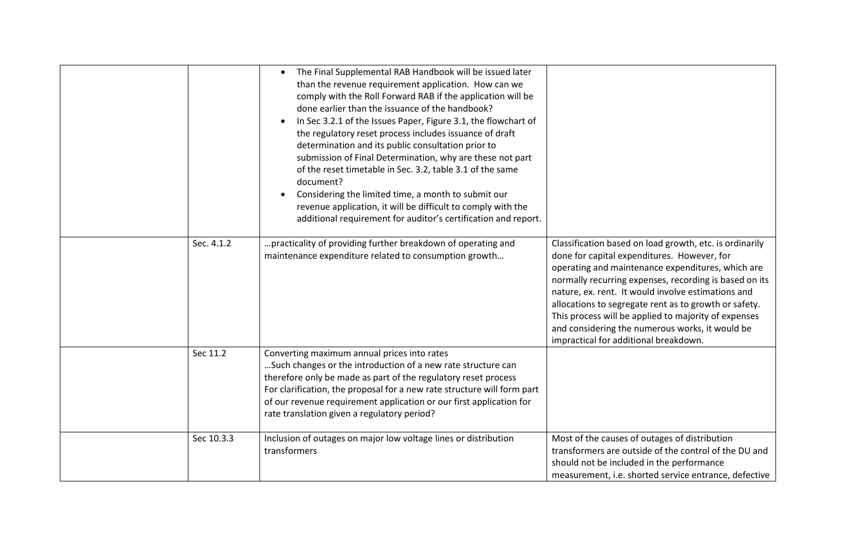|            | The Final Supplemental RAB Handbook will be issued later<br>than the revenue requirement application. How can we<br>comply with the Roll Forward RAB if the application will be<br>done earlier than the issuance of the handbook?<br>In Sec 3.2.1 of the Issues Paper, Figure 3.1, the flowchart of<br>the regulatory reset process includes issuance of draft<br>determination and its public consultation prior to<br>submission of Final Determination, why are these not part<br>of the reset timetable in Sec. 3.2, table 3.1 of the same<br>document?<br>Considering the limited time, a month to submit our<br>revenue application, it will be difficult to comply with the<br>additional requirement for auditor's certification and report. |                                                                                                                                                                                                                                                                                                                                                                                                                                                                                          |
|------------|-------------------------------------------------------------------------------------------------------------------------------------------------------------------------------------------------------------------------------------------------------------------------------------------------------------------------------------------------------------------------------------------------------------------------------------------------------------------------------------------------------------------------------------------------------------------------------------------------------------------------------------------------------------------------------------------------------------------------------------------------------|------------------------------------------------------------------------------------------------------------------------------------------------------------------------------------------------------------------------------------------------------------------------------------------------------------------------------------------------------------------------------------------------------------------------------------------------------------------------------------------|
| Sec. 4.1.2 | practicality of providing further breakdown of operating and<br>maintenance expenditure related to consumption growth                                                                                                                                                                                                                                                                                                                                                                                                                                                                                                                                                                                                                                 | Classification based on load growth, etc. is ordinarily<br>done for capital expenditures. However, for<br>operating and maintenance expenditures, which are<br>normally recurring expenses, recording is based on its<br>nature, ex. rent. It would involve estimations and<br>allocations to segregate rent as to growth or safety.<br>This process will be applied to majority of expenses<br>and considering the numerous works, it would be<br>impractical for additional breakdown. |
| Sec 11.2   | Converting maximum annual prices into rates<br>Such changes or the introduction of a new rate structure can<br>therefore only be made as part of the regulatory reset process<br>For clarification, the proposal for a new rate structure will form part<br>of our revenue requirement application or our first application for<br>rate translation given a regulatory period?                                                                                                                                                                                                                                                                                                                                                                        |                                                                                                                                                                                                                                                                                                                                                                                                                                                                                          |
| Sec 10.3.3 | Inclusion of outages on major low voltage lines or distribution<br>transformers                                                                                                                                                                                                                                                                                                                                                                                                                                                                                                                                                                                                                                                                       | Most of the causes of outages of distribution<br>transformers are outside of the control of the DU and<br>should not be included in the performance<br>measurement, i.e. shorted service entrance, defective                                                                                                                                                                                                                                                                             |